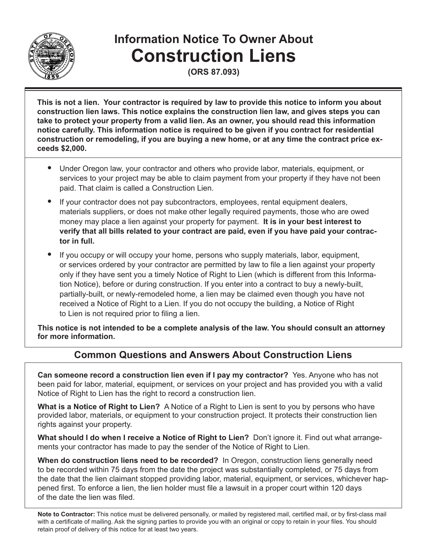

## **Information Notice To Owner About Construction Liens**

**(ORS 87.093)**

**This is not a lien. Your contractor is required by law to provide this notice to inform you about construction lien laws. This notice explains the construction lien law, and gives steps you can take to protect your property from a valid lien. As an owner, you should read this information notice carefully. This information notice is required to be given if you contract for residential construction or remodeling, if you are buying a new home, or at any time the contract price exceeds \$2,000.**

- Under Oregon law, your contractor and others who provide labor, materials, equipment, or services to your project may be able to claim payment from your property if they have not been paid. That claim is called a Construction Lien.
- If your contractor does not pay subcontractors, employees, rental equipment dealers, materials suppliers, or does not make other legally required payments, those who are owed money may place a lien against your property for payment. **It is in your best interest to verify that all bills related to your contract are paid, even if you have paid your contractor in full.**
- If you occupy or will occupy your home, persons who supply materials, labor, equipment, or services ordered by your contractor are permitted by law to file a lien against your property only if they have sent you a timely Notice of Right to Lien (which is different from this Information Notice), before or during construction. If you enter into a contract to buy a newly-built, partially-built, or newly-remodeled home, a lien may be claimed even though you have not received a Notice of Right to a Lien. If you do not occupy the building, a Notice of Right to Lien is not required prior to filing a lien.

**This notice is not intended to be a complete analysis of the law. You should consult an attorney for more information.**

## **Common Questions and Answers About Construction Liens**

**Can someone record a construction lien even if I pay my contractor?** Yes. Anyone who has not been paid for labor, material, equipment, or services on your project and has provided you with a valid Notice of Right to Lien has the right to record a construction lien.

**What is a Notice of Right to Lien?** A Notice of a Right to Lien is sent to you by persons who have provided labor, materials, or equipment to your construction project. It protects their construction lien rights against your property.

**What should I do when I receive a Notice of Right to Lien?** Don't ignore it. Find out what arrangements your contractor has made to pay the sender of the Notice of Right to Lien.

**When do construction liens need to be recorded?** In Oregon, construction liens generally need to be recorded within 75 days from the date the project was substantially completed, or 75 days from the date that the lien claimant stopped providing labor, material, equipment, or services, whichever happened first. To enforce a lien, the lien holder must file a lawsuit in a proper court within 120 days of the date the lien was filed.

**Note to Contractor:** This notice must be delivered personally, or mailed by registered mail, certified mail, or by first-class mail with a certificate of mailing. Ask the signing parties to provide you with an original or copy to retain in your files. You should retain proof of delivery of this notice for at least two years.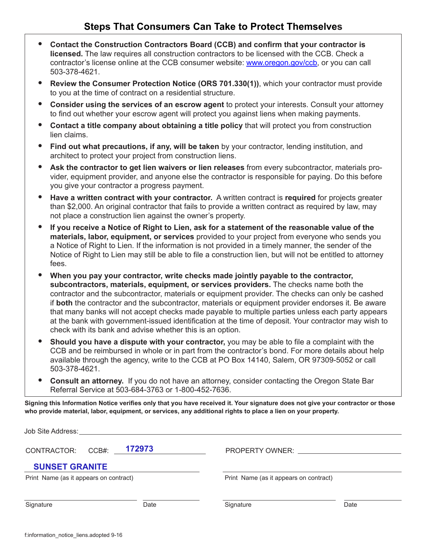### **Steps That Consumers Can Take to Protect Themselves**

- **Contact the Construction Contractors Board (CCB) and confirm that your contractor is licensed.** The law requires all construction contractors to be licensed with the CCB. Check a contractor's license online at the CCB consumer website: www.oregon.gov/ccb, or you can call 503-378-4621.
- **Review the Consumer Protection Notice (ORS 701.330(1))**, which your contractor must provide to you at the time of contract on a residential structure.
- **Consider using the services of an escrow agent** to protect your interests. Consult your attorney to find out whether your escrow agent will protect you against liens when making payments.
- **Contact a title company about obtaining a title policy** that will protect you from construction lien claims.
- **Find out what precautions, if any, will be taken** by your contractor, lending institution, and architect to protect your project from construction liens.
- **Ask the contractor to get lien waivers or lien releases** from every subcontractor, materials provider, equipment provider, and anyone else the contractor is responsible for paying. Do this before you give your contractor a progress payment.
- **Have a written contract with your contractor.** A written contract is **required** for projects greater than \$2,000. An original contractor that fails to provide a written contract as required by law, may not place a construction lien against the owner's property.
- **If you receive a Notice of Right to Lien, ask for a statement of the reasonable value of the materials, labor, equipment, or services** provided to your project from everyone who sends you a Notice of Right to Lien. If the information is not provided in a timely manner, the sender of the Notice of Right to Lien may still be able to file a construction lien, but will not be entitled to attorney fees.
- **When you pay your contractor, write checks made jointly payable to the contractor, subcontractors, materials, equipment, or services providers.** The checks name both the contractor and the subcontractor, materials or equipment provider. The checks can only be cashed if **both** the contractor and the subcontractor, materials or equipment provider endorses it. Be aware that many banks will not accept checks made payable to multiple parties unless each party appears at the bank with government-issued identification at the time of deposit. Your contractor may wish to check with its bank and advise whether this is an option.
- **Should you have a dispute with your contractor,** you may be able to file a complaint with the CCB and be reimbursed in whole or in part from the contractor's bond. For more details about help available through the agency, write to the CCB at PO Box 14140, Salem, OR 97309-5052 or call 503-378-4621.
- **Consult an attorney.** If you do not have an attorney, consider contacting the Oregon State Bar Referral Service at 503-684-3763 or 1-800-452-7636.

Signing this Information Notice verifies only that you have received it. Your signature does not give your contractor or those **who provide material, labor, equipment, or services, any additional rights to place a lien on your property.**

| Job Site Address: The Site of Site Address of the Site of the Site of the Site of the Site of the Site of the Site of the Site of the Site of the Site of the Site of the Site of the Site of the Site of the Site of the Site |        |                                        |      |
|--------------------------------------------------------------------------------------------------------------------------------------------------------------------------------------------------------------------------------|--------|----------------------------------------|------|
| CCB#:<br>CONTRACTOR:                                                                                                                                                                                                           | 172973 |                                        |      |
| <b>SUNSET GRANITE</b>                                                                                                                                                                                                          |        |                                        |      |
| Print Name (as it appears on contract)                                                                                                                                                                                         |        | Print Name (as it appears on contract) |      |
| Anglow Martin                                                                                                                                                                                                                  |        | Signature                              | Date |
| Signature                                                                                                                                                                                                                      | Date   |                                        |      |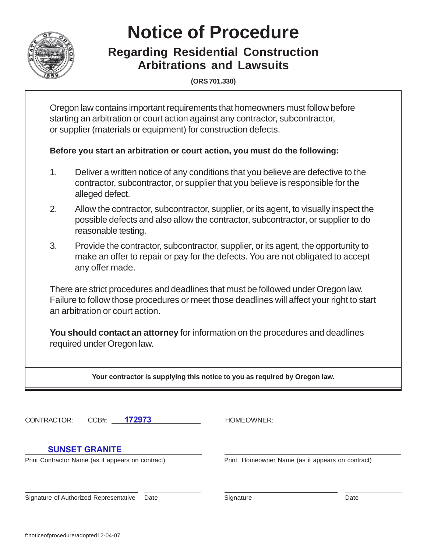

# **Notice of Procedure**

## **Regarding Residential Construction Arbitrations and Lawsuits**

**(ORS 701.330)**

Oregon law contains important requirements that homeowners must follow before starting an arbitration or court action against any contractor, subcontractor, or supplier (materials or equipment) for construction defects.

#### **Before you start an arbitration or court action, you must do the following:**

- 1. Deliver a written notice of any conditions that you believe are defective to the contractor, subcontractor, or supplier that you believe is responsible for the alleged defect.
- 2. Allow the contractor, subcontractor, supplier, or its agent, to visually inspect the possible defects and also allow the contractor, subcontractor, or supplier to do reasonable testing.
- 3. Provide the contractor, subcontractor, supplier, or its agent, the opportunity to make an offer to repair or pay for the defects. You are not obligated to accept any offer made.

There are strict procedures and deadlines that must be followed under Oregon law. Failure to follow those procedures or meet those deadlines will affect your right to start an arbitration or court action.

**You should contact an attorney** for information on the procedures and deadlines required under Oregon law.

**Your contractor is supplying this notice to you as required by Oregon law.**

CONTRACTOR: CCB#: **172973** HOMEOWNER: **172973**

#### **SUNSET GRANITE**

Print Contractor Name (as it appears on contract) Print Homeowner Name (as it appears on contract)

Signature of Authorized Representative Date Signature Signature Date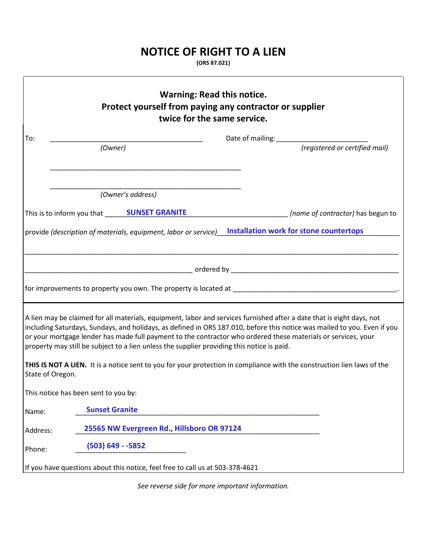## **NOTICE OF RIGHT TO A LIEN**

**(ORS 87.021)** 

 $\mathsf{L}$ 

| <b>Warning: Read this notice.</b><br>Protect yourself from paying any contractor or supplier<br>twice for the same service. |                                                                                            |                                                                                                                                                                                                                                                                                                                                                                    |  |  |
|-----------------------------------------------------------------------------------------------------------------------------|--------------------------------------------------------------------------------------------|--------------------------------------------------------------------------------------------------------------------------------------------------------------------------------------------------------------------------------------------------------------------------------------------------------------------------------------------------------------------|--|--|
| To:                                                                                                                         |                                                                                            | Date of mailing: _____________________                                                                                                                                                                                                                                                                                                                             |  |  |
|                                                                                                                             | (Owner)                                                                                    | (registered or certified mail)                                                                                                                                                                                                                                                                                                                                     |  |  |
|                                                                                                                             | (Owner's address)                                                                          |                                                                                                                                                                                                                                                                                                                                                                    |  |  |
|                                                                                                                             | This is to inform you that <b>SUNSET GRANITE</b>                                           | (name of contractor) has begun to                                                                                                                                                                                                                                                                                                                                  |  |  |
|                                                                                                                             |                                                                                            | provide (description of materials, equipment, labor or service) Installation work for stone countertops                                                                                                                                                                                                                                                            |  |  |
|                                                                                                                             |                                                                                            |                                                                                                                                                                                                                                                                                                                                                                    |  |  |
|                                                                                                                             |                                                                                            | for improvements to property you own. The property is located at example and the state of the state of the state of the state of the state of the state of the state of the state of the state of the state of the state of th                                                                                                                                     |  |  |
|                                                                                                                             | property may still be subject to a lien unless the supplier providing this notice is paid. | A lien may be claimed for all materials, equipment, labor and services furnished after a date that is eight days, not<br>including Saturdays, Sundays, and holidays, as defined in ORS 187.010, before this notice was mailed to you. Even if you<br>or your mortgage lender has made full payment to the contractor who ordered these materials or services, your |  |  |
| State of Oregon.                                                                                                            |                                                                                            | THIS IS NOT A LIEN. It is a notice sent to you for your protection in compliance with the construction lien laws of the                                                                                                                                                                                                                                            |  |  |
|                                                                                                                             | This notice has been sent to you by:                                                       |                                                                                                                                                                                                                                                                                                                                                                    |  |  |
| Name:                                                                                                                       | <b>Sunset Granite</b>                                                                      |                                                                                                                                                                                                                                                                                                                                                                    |  |  |
| Address:                                                                                                                    | 25565 NW Evergreen Rd., Hillsboro OR 97124                                                 |                                                                                                                                                                                                                                                                                                                                                                    |  |  |
| $(503) 649 - 5852$<br>Phone:                                                                                                |                                                                                            |                                                                                                                                                                                                                                                                                                                                                                    |  |  |
|                                                                                                                             | If you have questions about this notice, feel free to call us at 503-378-4621              |                                                                                                                                                                                                                                                                                                                                                                    |  |  |

*See reverse side for more important information.*